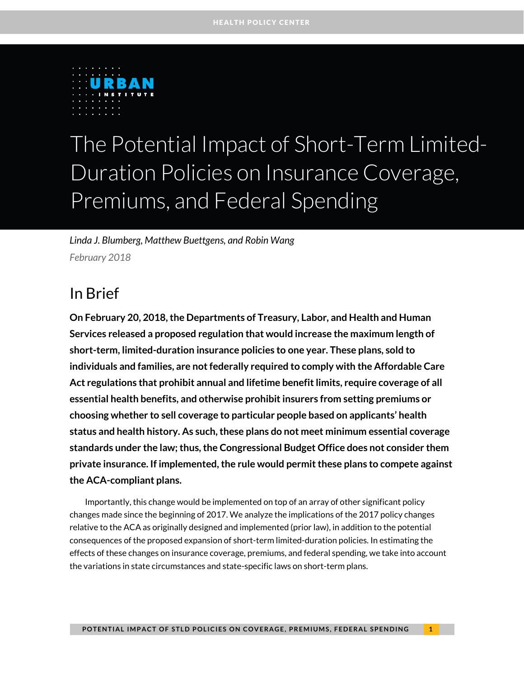

# The Potential Impact of Short-Term Limited-Duration Policies on Insurance Coverage, Premiums, and Federal Spending

*Linda J. Blumberg, Matthew Buettgens, and Robin Wang February 2018*

### In Brief

**On February 20, 2018, the Departments of Treasury, Labor, and Health and Human Services released a proposed regulation that would increase the maximum length of short-term, limited-duration insurance policies to one year. These plans, sold to individuals and families, are not federally required to comply with the Affordable Care Act regulations that prohibit annual and lifetime benefit limits, require coverage of all essential health benefits, and otherwise prohibit insurers from setting premiums or choosing whether to sell coverage to particular people based on applicants' health status and health history. As such, these plans do not meet minimum essential coverage standards under the law; thus, the Congressional Budget Office does not consider them private insurance. If implemented, the rule would permit these plans to compete against the ACA-compliant plans.** 

Importantly, this change would be implemented on top of an array of other significant policy changes made since the beginning of 2017. We analyze the implications of the 2017 policy changes relative to the ACA as originally designed and implemented (prior law), in addition to the potential consequences of the proposed expansion of short-term limited-duration policies. In estimating the effects of these changes on insurance coverage, premiums, and federal spending, we take into account the variations in state circumstances and state-specific laws on short-term plans.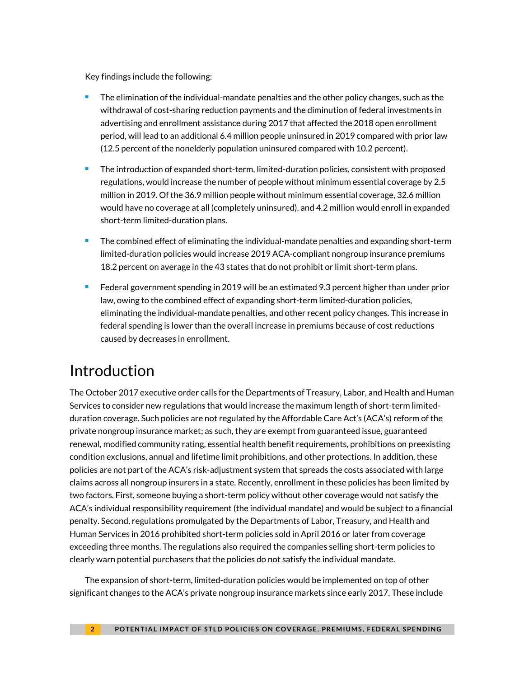Key findings include the following:

- The elimination of the individual-mandate penalties and the other policy changes, such as the withdrawal of cost-sharing reduction payments and the diminution of federal investments in advertising and enrollment assistance during 2017 that affected the 2018 open enrollment period, will lead to an additional 6.4 million people uninsured in 2019 compared with prior law (12.5 percent of the nonelderly population uninsured compared with 10.2 percent).
- The introduction of expanded short-term, limited-duration policies, consistent with proposed regulations, would increase the number of people without minimum essential coverage by 2.5 million in 2019. Of the 36.9 million people without minimum essential coverage, 32.6 million would have no coverage at all (completely uninsured), and 4.2 million would enroll in expanded short-term limited-duration plans.
- **The combined effect of eliminating the individual-mandate penalties and expanding short-term** limited-duration policies would increase 2019 ACA-compliant nongroup insurance premiums 18.2 percent on average in the 43 states that do not prohibit or limit short-term plans.
- Federal government spending in 2019 will be an estimated 9.3 percent higher than under prior law, owing to the combined effect of expanding short-term limited-duration policies, eliminating the individual-mandate penalties, and other recent policy changes. This increase in federal spending is lower than the overall increase in premiums because of cost reductions caused by decreases in enrollment.

# Introduction

The October 2017 executive order calls for the Departments of Treasury, Labor, and Health and Human Services to consider new regulations that would increase the maximum length of short-term limitedduration coverage. Such policies are not regulated by the Affordable Care Act's (ACA's) reform of the private nongroup insurance market; as such, they are exempt from guaranteed issue, guaranteed renewal, modified community rating, essential health benefit requirements, prohibitions on preexisting condition exclusions, annual and lifetime limit prohibitions, and other protections. In addition, these policies are not part of the ACA's risk-adjustment system that spreads the costs associated with large claims across all nongroup insurers in a state. Recently, enrollment in these policies has been limited by two factors. First, someone buying a short-term policy without other coverage would not satisfy the ACA's individual responsibility requirement (the individual mandate) and would be subject to a financial penalty. Second, regulations promulgated by the Departments of Labor, Treasury, and Health and Human Services in 2016 prohibited short-term policies sold in April 2016 or later from coverage exceeding three months. The regulations also required the companies selling short-term policies to clearly warn potential purchasers that the policies do not satisfy the individual mandate.

The expansion of short-term, limited-duration policies would be implemented on top of other significant changes to the ACA's private nongroup insurance markets since early 2017. These include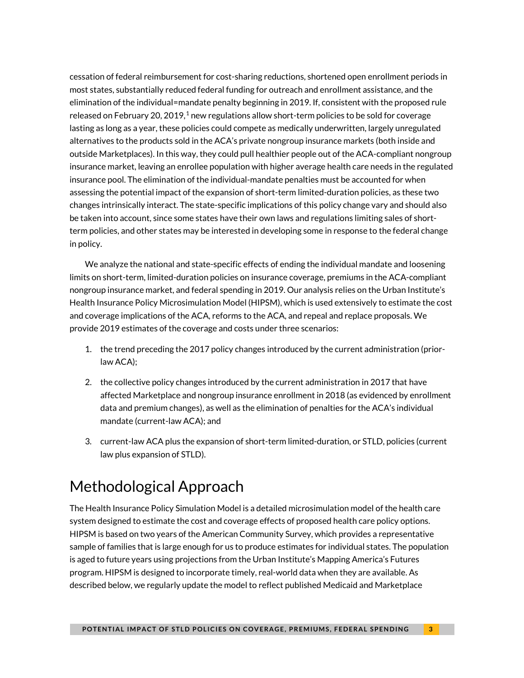cessation of federal reimbursement for cost-sharing reductions, shortened open enrollment periods in most states, substantially reduced federal funding for outreach and enrollment assistance, and the elimination of the individual=mandate penalty beginning in 2019. If, consistent with the proposed rule released on February 20, 20[1](#page-5-0)9, $^1$  new regulations allow short-term policies to be sold for coverage lasting as long as a year, these policies could compete as medically underwritten, largely unregulated alternatives to the products sold in the ACA's private nongroup insurance markets (both inside and outside Marketplaces). In this way, they could pull healthier people out of the ACA-compliant nongroup insurance market, leaving an enrollee population with higher average health care needs in the regulated insurance pool. The elimination of the individual-mandate penalties must be accounted for when assessing the potential impact of the expansion of short-term limited-duration policies, as these two changes intrinsically interact. The state-specific implications of this policy change vary and should also be taken into account, since some states have their own laws and regulations limiting sales of shortterm policies, and other states may be interested in developing some in response to the federal change in policy.

We analyze the national and state-specific effects of ending the individual mandate and loosening limits on short-term, limited-duration policies on insurance coverage, premiums in the ACA-compliant nongroup insurance market, and federal spending in 2019. Our analysis relies on the Urban Institute's Health Insurance Policy Microsimulation Model (HIPSM), which is used extensively to estimate the cost and coverage implications of the ACA, reforms to the ACA, and repeal and replace proposals. We provide 2019 estimates of the coverage and costs under three scenarios:

- 1. the trend preceding the 2017 policy changes introduced by the current administration (priorlaw ACA);
- 2. the collective policy changes introduced by the current administration in 2017 that have affected Marketplace and nongroup insurance enrollment in 2018 (as evidenced by enrollment data and premium changes), as well as the elimination of penalties for the ACA's individual mandate (current-law ACA); and
- 3. current-law ACA plus the expansion of short-term limited-duration, or STLD, policies (current law plus expansion of STLD).

# Methodological Approach

The Health Insurance Policy Simulation Model is a detailed microsimulation model of the health care system designed to estimate the cost and coverage effects of proposed health care policy options. HIPSM is based on two years of the American Community Survey, which provides a representative sample of families that is large enough for us to produce estimates for individual states. The population is aged to future years using projections from the Urban Institute's Mapping America's Futures program. HIPSM is designed to incorporate timely, real-world data when they are available. As described below, we regularly update the model to reflect published Medicaid and Marketplace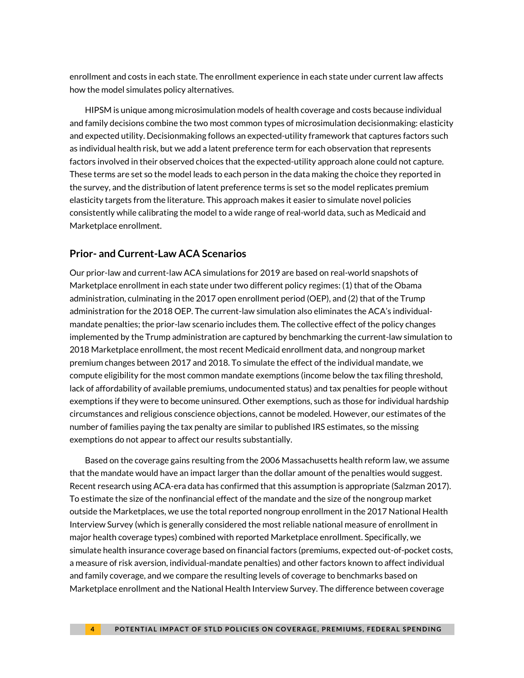enrollment and costs in each state. The enrollment experience in each state under current law affects how the model simulates policy alternatives.

HIPSM is unique among microsimulation models of health coverage and costs because individual and family decisions combine the two most common types of microsimulation decisionmaking: elasticity and expected utility. Decisionmaking follows an expected-utility framework that captures factors such as individual health risk, but we add a latent preference term for each observation that represents factors involved in their observed choices that the expected-utility approach alone could not capture. These terms are set so the model leads to each person in the data making the choice they reported in the survey, and the distribution of latent preference terms is set so the model replicates premium elasticity targets from the literature. This approach makes it easier to simulate novel policies consistently while calibrating the model to a wide range of real-world data, such as Medicaid and Marketplace enrollment.

### **Prior- and Current-Law ACA Scenarios**

Our prior-law and current-law ACA simulations for 2019 are based on real-world snapshots of Marketplace enrollment in each state under two different policy regimes: (1) that of the Obama administration, culminating in the 2017 open enrollment period (OEP), and (2) that of the Trump administration for the 2018 OEP. The current-law simulation also eliminates the ACA's individualmandate penalties; the prior-law scenario includes them. The collective effect of the policy changes implemented by the Trump administration are captured by benchmarking the current-law simulation to 2018 Marketplace enrollment, the most recent Medicaid enrollment data, and nongroup market premium changes between 2017 and 2018. To simulate the effect of the individual mandate, we compute eligibility for the most common mandate exemptions (income below the tax filing threshold, lack of affordability of available premiums, undocumented status) and tax penalties for people without exemptions if they were to become uninsured. Other exemptions, such as those for individual hardship circumstances and religious conscience objections, cannot be modeled. However, our estimates of the number of families paying the tax penalty are similar to published IRS estimates, so the missing exemptions do not appear to affect our results substantially.

Based on the coverage gains resulting from the 2006 Massachusetts health reform law, we assume that the mandate would have an impact larger than the dollar amount of the penalties would suggest. Recent research using ACA-era data has confirmed that this assumption is appropriate (Salzman 2017). To estimate the size of the nonfinancial effect of the mandate and the size of the nongroup market outside the Marketplaces, we use the total reported nongroup enrollment in the 2017 National Health Interview Survey (which is generally considered the most reliable national measure of enrollment in major health coverage types) combined with reported Marketplace enrollment. Specifically, we simulate health insurance coverage based on financial factors (premiums, expected out-of-pocket costs, a measure of risk aversion, individual-mandate penalties) and other factors known to affect individual and family coverage, and we compare the resulting levels of coverage to benchmarks based on Marketplace enrollment and the National Health Interview Survey. The difference between coverage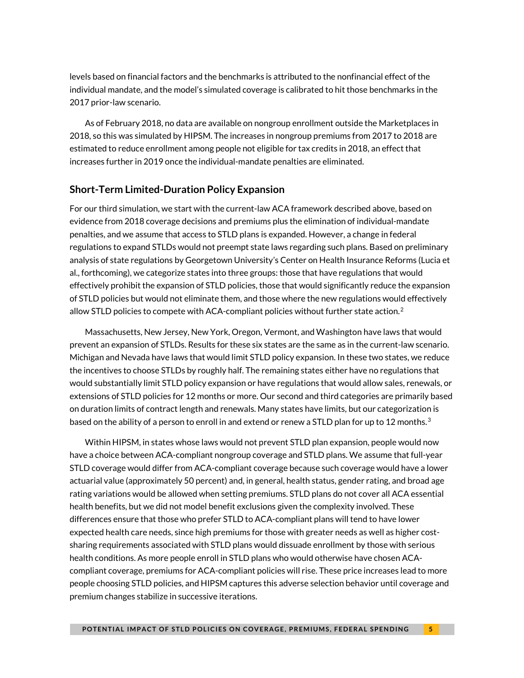levels based on financial factors and the benchmarks is attributed to the nonfinancial effect of the individual mandate, and the model's simulated coverage is calibrated to hit those benchmarks in the 2017 prior-law scenario.

As of February 2018, no data are available on nongroup enrollment outside the Marketplaces in 2018, so this was simulated by HIPSM. The increases in nongroup premiums from 2017 to 2018 are estimated to reduce enrollment among people not eligible for tax credits in 2018, an effect that increases further in 2019 once the individual-mandate penalties are eliminated.

### **Short-Term Limited-Duration Policy Expansion**

For our third simulation, we start with the current-law ACA framework described above, based on evidence from 2018 coverage decisions and premiums plus the elimination of individual-mandate penalties, and we assume that access to STLD plans is expanded. However, a change in federal regulations to expand STLDs would not preempt state laws regarding such plans. Based on preliminary analysis of state regulations by Georgetown University's Center on Health Insurance Reforms (Lucia et al., forthcoming), we categorize states into three groups: those that have regulations that would effectively prohibit the expansion of STLD policies, those that would significantly reduce the expansion of STLD policies but would not eliminate them, and those where the new regulations would effectively allow STLD policies to compete with ACA-compliant policies without further state action.<sup>[2](#page-5-1)</sup>

Massachusetts, New Jersey, New York, Oregon, Vermont, and Washington have laws that would prevent an expansion of STLDs. Results for these six states are the same as in the current-law scenario. Michigan and Nevada have laws that would limit STLD policy expansion. In these two states, we reduce the incentives to choose STLDs by roughly half. The remaining states either have no regulations that would substantially limit STLD policy expansion or have regulations that would allow sales, renewals, or extensions of STLD policies for 12 months or more. Our second and third categories are primarily based on duration limits of contract length and renewals. Many states have limits, but our categorization is based on the ability of a person to enroll in and extend or renew a STLD plan for up to 12 months. $^3$  $^3$ 

Within HIPSM, in states whose laws would not prevent STLD plan expansion, people would now have a choice between ACA-compliant nongroup coverage and STLD plans. We assume that full-year STLD coverage would differ from ACA-compliant coverage because such coverage would have a lower actuarial value (approximately 50 percent) and, in general, health status, gender rating, and broad age rating variations would be allowed when setting premiums. STLD plans do not cover all ACA essential health benefits, but we did not model benefit exclusions given the complexity involved. These differences ensure that those who prefer STLD to ACA-compliant plans will tend to have lower expected health care needs, since high premiums for those with greater needs as well as higher costsharing requirements associated with STLD plans would dissuade enrollment by those with serious health conditions. As more people enroll in STLD plans who would otherwise have chosen ACAcompliant coverage, premiums for ACA-compliant policies will rise. These price increases lead to more people choosing STLD policies, and HIPSM captures this adverse selection behavior until coverage and premium changes stabilize in successive iterations.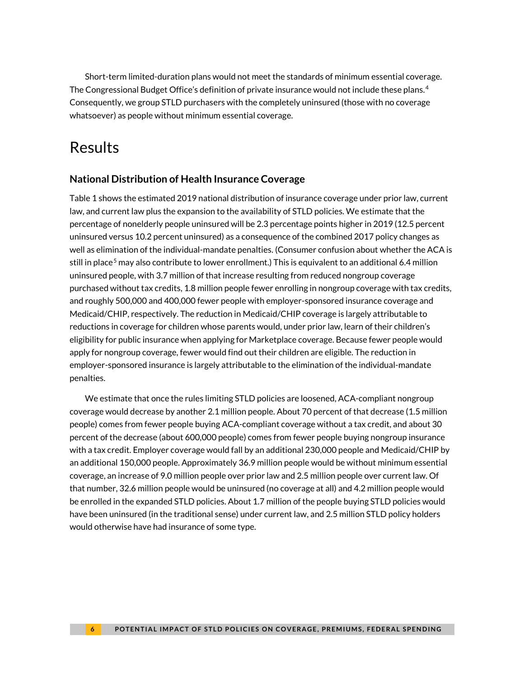<span id="page-5-0"></span>Short-term limited-duration plans would not meet the standards of minimum essential coverage. The Congressional Budget Office's definition of private insurance would not include these plans.<sup>[4](#page-5-3)</sup> Consequently, we group STLD purchasers with the completely uninsured (those with no coverage whatsoever) as people without minimum essential coverage.

# <span id="page-5-2"></span><span id="page-5-1"></span>Results

### **National Distribution of Health Insurance Coverage**

<span id="page-5-4"></span><span id="page-5-3"></span>Table 1 shows the estimated 2019 national distribution of insurance coverage under prior law, current law, and current law plus the expansion to the availability of STLD policies. We estimate that the percentage of nonelderly people uninsured will be 2.3 percentage points higher in 2019 (12.5 percent uninsured versus 10.2 percent uninsured) as a consequence of the combined 2017 policy changes as well as elimination of the individual-mandate penalties. (Consumer confusion about whether the ACA is still in place<sup>[5](#page-5-4)</sup> may also contribute to lower enrollment.) This is equivalent to an additional 6.4 million uninsured people, with 3.7 million of that increase resulting from reduced nongroup coverage purchased without tax credits, 1.8 million people fewer enrolling in nongroup coverage with tax credits, and roughly 500,000 and 400,000 fewer people with employer-sponsored insurance coverage and Medicaid/CHIP, respectively. The reduction in Medicaid/CHIP coverage is largely attributable to reductions in coverage for children whose parents would, under prior law, learn of their children's eligibility for public insurance when applying for Marketplace coverage. Because fewer people would apply for nongroup coverage, fewer would find out their children are eligible. The reduction in employer-sponsored insurance is largely attributable to the elimination of the individual-mandate penalties.

We estimate that once the rules limiting STLD policies are loosened, ACA-compliant nongroup coverage would decrease by another 2.1 million people. About 70 percent of that decrease (1.5 million people) comes from fewer people buying ACA-compliant coverage without a tax credit, and about 30 percent of the decrease (about 600,000 people) comes from fewer people buying nongroup insurance with a tax credit. Employer coverage would fall by an additional 230,000 people and Medicaid/CHIP by an additional 150,000 people. Approximately 36.9 million people would be without minimum essential coverage, an increase of 9.0 million people over prior law and 2.5 million people over current law. Of that number, 32.6 million people would be uninsured (no coverage at all) and 4.2 million people would be enrolled in the expanded STLD policies. About 1.7 million of the people buying STLD policies would have been uninsured (in the traditional sense) under current law, and 2.5 million STLD policy holders would otherwise have had insurance of some type.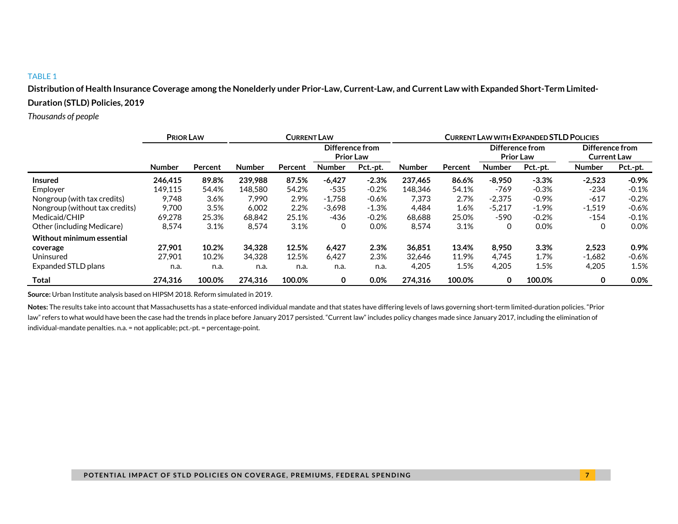**Distribution of Health Insurance Coverage among the Nonelderly under Prior-Law, Current-Law, and Current Law with Expanded Short-Term Limited-Duration (STLD) Policies, 2019**

*Thousands of people*

|                                | <b>PRIOR LAW</b> |         | <b>CURRENT LAW</b> |         |                                     |          |               | <b>CURRENT LAW WITH EXPANDED STLD POLICIES</b> |                                     |          |                                       |          |
|--------------------------------|------------------|---------|--------------------|---------|-------------------------------------|----------|---------------|------------------------------------------------|-------------------------------------|----------|---------------------------------------|----------|
|                                |                  |         |                    |         | Difference from<br><b>Prior Law</b> |          |               |                                                | Difference from<br><b>Prior Law</b> |          | Difference from<br><b>Current Law</b> |          |
|                                | <b>Number</b>    | Percent | <b>Number</b>      | Percent | <b>Number</b>                       | Pct.-pt. | <b>Number</b> | Percent                                        | <b>Number</b>                       | Pct.-pt. | <b>Number</b>                         | Pct.-pt. |
| Insured                        | 246.415          | 89.8%   | 239.988            | 87.5%   | $-6.427$                            | $-2.3%$  | 237.465       | 86.6%                                          | $-8.950$                            | $-3.3%$  | $-2,523$                              | $-0.9%$  |
| Employer                       | 149.115          | 54.4%   | 148.580            | 54.2%   | $-535$                              | $-0.2\%$ | 148.346       | 54.1%                                          | -769                                | $-0.3%$  | $-234$                                | $-0.1%$  |
| Nongroup (with tax credits)    | 9.748            | 3.6%    | 7.990              | 2.9%    | $-1.758$                            | $-0.6%$  | 7.373         | 2.7%                                           | $-2,375$                            | $-0.9%$  | $-617$                                | $-0.2%$  |
| Nongroup (without tax credits) | 9.700            | 3.5%    | 6.002              | 2.2%    | $-3.698$                            | $-1.3%$  | 4.484         | 1.6%                                           | $-5,217$                            | $-1.9%$  | $-1,519$                              | $-0.6%$  |
| Medicaid/CHIP                  | 69,278           | 25.3%   | 68,842             | 25.1%   | -436                                | $-0.2%$  | 68,688        | 25.0%                                          | $-590$                              | $-0.2%$  | $-154$                                | $-0.1%$  |
| Other (including Medicare)     | 8,574            | 3.1%    | 8,574              | 3.1%    | 0                                   | 0.0%     | 8,574         | 3.1%                                           | 0                                   | 0.0%     |                                       | 0.0%     |
| Without minimum essential      |                  |         |                    |         |                                     |          |               |                                                |                                     |          |                                       |          |
| coverage                       | 27.901           | 10.2%   | 34,328             | 12.5%   | 6.427                               | 2.3%     | 36.851        | 13.4%                                          | 8,950                               | 3.3%     | 2,523                                 | 0.9%     |
| Uninsured                      | 27,901           | 10.2%   | 34,328             | 12.5%   | 6,427                               | 2.3%     | 32,646        | 11.9%                                          | 4.745                               | 1.7%     | $-1,682$                              | $-0.6%$  |
| Expanded STLD plans            | n.a.             | n.a.    | n.a.               | n.a.    | n.a.                                | n.a.     | 4,205         | 1.5%                                           | 4,205                               | 1.5%     | 4,205                                 | 1.5%     |
| Total                          | 274.316          | 100.0%  | 274.316            | 100.0%  | 0                                   | $0.0\%$  | 274.316       | 100.0%                                         | 0                                   | 100.0%   | 0                                     | 0.0%     |

**Source:** Urban Institute analysis based on HIPSM 2018. Reform simulated in 2019.

**Notes:** The results take into account that Massachusetts has a state-enforced individual mandate and that states have differing levels of laws governing short-term limited-duration policies. "Prior law" refers to what would have been the case had the trends in place before January 2017 persisted. "Current law" includes policy changes made since January 2017, including the elimination of individual-mandate penalties. n.a. = not applicable; pct.-pt. = percentage-point.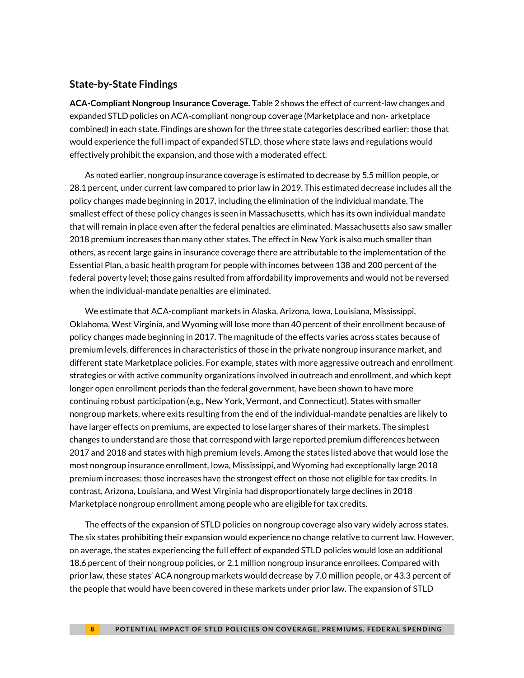### **State-by-State Findings**

**ACA-Compliant Nongroup Insurance Coverage.** Table 2 shows the effect of current-law changes and expanded STLD policies on ACA-compliant nongroup coverage (Marketplace and non- arketplace combined) in each state. Findings are shown for the three state categories described earlier: those that would experience the full impact of expanded STLD, those where state laws and regulations would effectively prohibit the expansion, and those with a moderated effect.

As noted earlier, nongroup insurance coverage is estimated to decrease by 5.5 million people, or 28.1 percent, under current law compared to prior law in 2019. This estimated decrease includes all the policy changes made beginning in 2017, including the elimination of the individual mandate. The smallest effect of these policy changes is seen in Massachusetts, which has its own individual mandate that will remain in place even after the federal penalties are eliminated. Massachusetts also saw smaller 2018 premium increases than many other states. The effect in New York is also much smaller than others, as recent large gains in insurance coverage there are attributable to the implementation of the Essential Plan, a basic health program for people with incomes between 138 and 200 percent of the federal poverty level; those gains resulted from affordability improvements and would not be reversed when the individual-mandate penalties are eliminated.

We estimate that ACA-compliant markets in Alaska, Arizona, Iowa, Louisiana, Mississippi, Oklahoma, West Virginia, and Wyoming will lose more than 40 percent of their enrollment because of policy changes made beginning in 2017. The magnitude of the effects varies across states because of premium levels, differences in characteristics of those in the private nongroup insurance market, and different state Marketplace policies. For example, states with more aggressive outreach and enrollment strategies or with active community organizations involved in outreach and enrollment, and which kept longer open enrollment periods than the federal government, have been shown to have more continuing robust participation (e.g., New York, Vermont, and Connecticut). States with smaller nongroup markets, where exits resulting from the end of the individual-mandate penalties are likely to have larger effects on premiums, are expected to lose larger shares of their markets. The simplest changes to understand are those that correspond with large reported premium differences between 2017 and 2018 and states with high premium levels. Among the states listed above that would lose the most nongroup insurance enrollment, Iowa, Mississippi, and Wyoming had exceptionally large 2018 premium increases; those increases have the strongest effect on those not eligible for tax credits. In contrast, Arizona, Louisiana, and West Virginia had disproportionately large declines in 2018 Marketplace nongroup enrollment among people who are eligible for tax credits.

The effects of the expansion of STLD policies on nongroup coverage also vary widely across states. The six states prohibiting their expansion would experience no change relative to current law. However, on average, the states experiencing the full effect of expanded STLD policies would lose an additional 18.6 percent of their nongroup policies, or 2.1 million nongroup insurance enrollees. Compared with prior law, these states' ACA nongroup markets would decrease by 7.0 million people, or 43.3 percent of the people that would have been covered in these markets under prior law. The expansion of STLD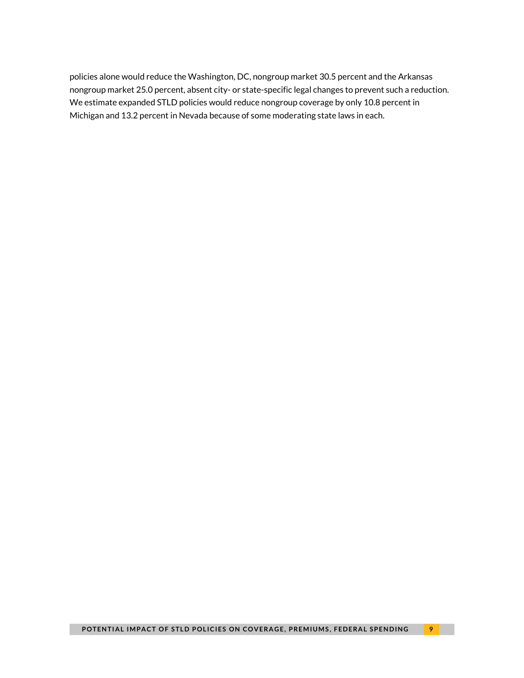policies alone would reduce the Washington, DC, nongroup market 30.5 percent and the Arkansas nongroup market 25.0 percent, absent city- or state-specific legal changes to prevent such a reduction. We estimate expanded STLD policies would reduce nongroup coverage by only 10.8 percent in Michigan and 13.2 percent in Nevada because of some moderating state laws in each.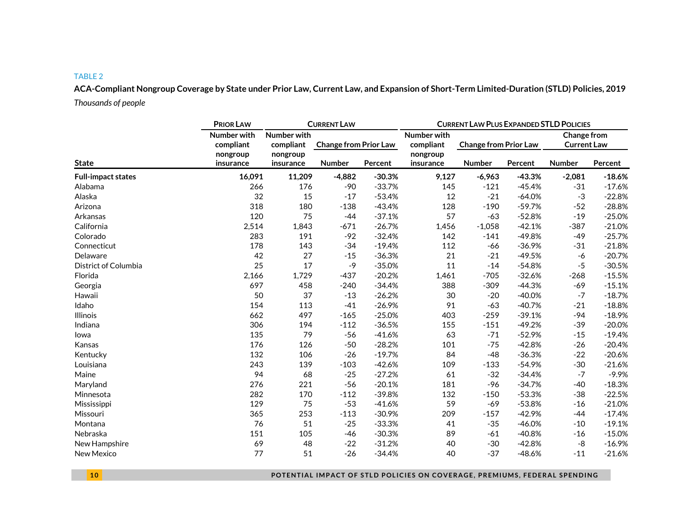**ACA-Compliant Nongroup Coverage by State under Prior Law, Current Law, and Expansion of Short-Term Limited-Duration (STLD) Policies, 2019** *Thousands of people*

|                           | <b>PRIOR LAW</b>         |                          | <b>CURRENT LAW PLUS EXPANDED STLD POLICIES</b> |          |                          |                              |          |          |                                   |  |
|---------------------------|--------------------------|--------------------------|------------------------------------------------|----------|--------------------------|------------------------------|----------|----------|-----------------------------------|--|
|                           | Number with<br>compliant | Number with<br>compliant | <b>Change from Prior Law</b>                   |          | Number with<br>compliant | <b>Change from Prior Law</b> |          |          | Change from<br><b>Current Law</b> |  |
| <b>State</b>              | nongroup<br>insurance    | nongroup<br>insurance    | Number<br>Percent                              |          | nongroup<br>insurance    | Number                       | Percent  | Number   | Percent                           |  |
| <b>Full-impact states</b> | 16,091                   | 11,209                   | $-4,882$                                       | $-30.3%$ | 9,127                    | $-6,963$                     | $-43.3%$ | $-2,081$ | $-18.6%$                          |  |
| Alabama                   | 266                      | 176                      | -90                                            | $-33.7%$ | 145                      | $-121$                       | $-45.4%$ | $-31$    | $-17.6%$                          |  |
| Alaska                    | 32                       | 15                       | $-17$                                          | $-53.4%$ | 12                       | $-21$                        | $-64.0%$ | $-3$     | $-22.8%$                          |  |
| Arizona                   | 318                      | 180                      | $-138$                                         | $-43.4%$ | 128                      | $-190$                       | $-59.7%$ | $-52$    | $-28.8%$                          |  |
| Arkansas                  | 120                      | 75                       | $-44$                                          | $-37.1%$ | 57                       | $-63$                        | $-52.8%$ | $-19$    | $-25.0%$                          |  |
| California                | 2,514                    | 1,843                    | $-671$                                         | $-26.7%$ | 1,456                    | $-1,058$                     | $-42.1%$ | $-387$   | $-21.0%$                          |  |
| Colorado                  | 283                      | 191                      | $-92$                                          | $-32.4%$ | 142                      | $-141$                       | $-49.8%$ | $-49$    | $-25.7%$                          |  |
| Connecticut               | 178                      | 143                      | $-34$                                          | $-19.4%$ | 112                      | -66                          | $-36.9%$ | $-31$    | $-21.8%$                          |  |
| Delaware                  | 42                       | 27                       | $-15$                                          | $-36.3%$ | 21                       | $-21$                        | $-49.5%$ | $-6$     | $-20.7%$                          |  |
| District of Columbia      | 25                       | 17                       | $-9$                                           | $-35.0%$ | 11                       | $-14$                        | $-54.8%$ | $-5$     | $-30.5%$                          |  |
| Florida                   | 2,166                    | 1,729                    | $-437$                                         | $-20.2%$ | 1,461                    | $-705$                       | $-32.6%$ | $-268$   | $-15.5%$                          |  |
| Georgia                   | 697                      | 458                      | $-240$                                         | $-34.4%$ | 388                      | $-309$                       | $-44.3%$ | $-69$    | $-15.1%$                          |  |
| Hawaii                    | 50                       | 37                       | $-13$                                          | $-26.2%$ | 30                       | $-20$                        | $-40.0%$ | $-7$     | $-18.7%$                          |  |
| Idaho                     | 154                      | 113                      | $-41$                                          | $-26.9%$ | 91                       | $-63$                        | $-40.7%$ | $-21$    | $-18.8%$                          |  |
| <b>Illinois</b>           | 662                      | 497                      | $-165$                                         | $-25.0%$ | 403                      | $-259$                       | $-39.1%$ | $-94$    | $-18.9%$                          |  |
| Indiana                   | 306                      | 194                      | $-112$                                         | $-36.5%$ | 155                      | $-151$                       | $-49.2%$ | $-39$    | $-20.0%$                          |  |
| lowa                      | 135                      | 79                       | $-56$                                          | $-41.6%$ | 63                       | $-71$                        | $-52.9%$ | $-15$    | $-19.4%$                          |  |
| Kansas                    | 176                      | 126                      | $-50$                                          | $-28.2%$ | 101                      | $-75$                        | $-42.8%$ | $-26$    | $-20.4%$                          |  |
| Kentucky                  | 132                      | 106                      | $-26$                                          | $-19.7%$ | 84                       | $-48$                        | $-36.3%$ | $-22$    | $-20.6%$                          |  |
| Louisiana                 | 243                      | 139                      | $-103$                                         | $-42.6%$ | 109                      | $-133$                       | $-54.9%$ | $-30$    | $-21.6%$                          |  |
| Maine                     | 94                       | 68                       | $-25$                                          | $-27.2%$ | 61                       | $-32$                        | $-34.4%$ | $-7$     | $-9.9%$                           |  |
| Maryland                  | 276                      | 221                      | $-56$                                          | $-20.1%$ | 181                      | $-96$                        | $-34.7%$ | $-40$    | $-18.3%$                          |  |
| Minnesota                 | 282                      | 170                      | $-112$                                         | $-39.8%$ | 132                      | $-150$                       | $-53.3%$ | $-38$    | $-22.5%$                          |  |
| Mississippi               | 129                      | 75                       | $-53$                                          | $-41.6%$ | 59                       | $-69$                        | $-53.8%$ | $-16$    | $-21.0%$                          |  |
| Missouri                  | 365                      | 253                      | $-113$                                         | $-30.9%$ | 209                      | $-157$                       | $-42.9%$ | $-44$    | $-17.4%$                          |  |
| Montana                   | 76                       | 51                       | $-25$                                          | $-33.3%$ | 41                       | $-35$                        | $-46.0%$ | $-10$    | $-19.1%$                          |  |
| Nebraska                  | 151                      | 105                      | $-46$                                          | $-30.3%$ | 89                       | $-61$                        | $-40.8%$ | $-16$    | $-15.0%$                          |  |
| New Hampshire             | 69                       | 48                       | $-22$                                          | $-31.2%$ | 40                       | $-30$                        | $-42.8%$ | -8       | $-16.9%$                          |  |
| New Mexico                | 77                       | 51                       | $-26$                                          | $-34.4%$ | 40                       | $-37$                        | $-48.6%$ | $-11$    | $-21.6%$                          |  |

**1 0 POTENTIAL IMPACT OF STLD POLICIES ON COVERAGE, PREMIUMS, FEDERAL SPENDING**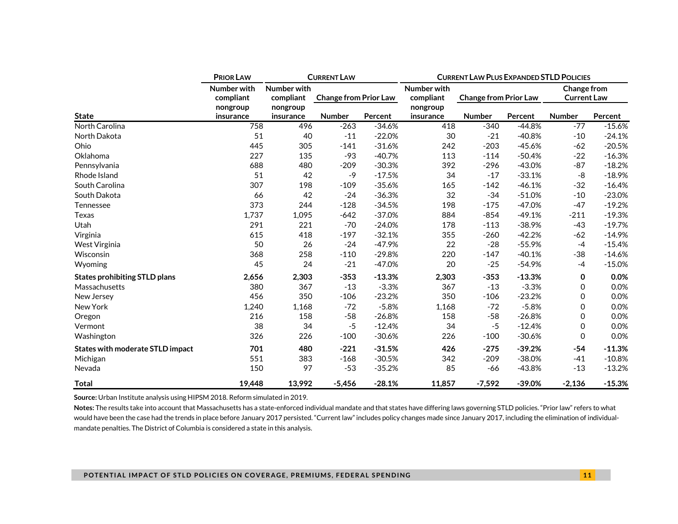|                                         | <b>PRIOR LAW</b>           |           | <b>CURRENT LAW</b>           |          | <b>CURRENT LAW PLUS EXPANDED STLD POLICIES</b> |                              |             |                    |          |  |
|-----------------------------------------|----------------------------|-----------|------------------------------|----------|------------------------------------------------|------------------------------|-------------|--------------------|----------|--|
|                                         | Number with<br>Number with |           |                              |          | Number with                                    |                              | Change from |                    |          |  |
|                                         | compliant                  | compliant | <b>Change from Prior Law</b> |          | compliant                                      | <b>Change from Prior Law</b> |             | <b>Current Law</b> |          |  |
|                                         | nongroup                   | nongroup  |                              |          | nongroup                                       |                              |             |                    |          |  |
| <b>State</b>                            | insurance                  | insurance | <b>Number</b>                | Percent  | insurance                                      | <b>Number</b>                | Percent     | <b>Number</b>      | Percent  |  |
| North Carolina                          | 758                        | 496       | $-263$                       | $-34.6%$ | 418                                            | $-340$                       | $-44.8%$    | $-77$              | $-15.6%$ |  |
| North Dakota                            | 51                         | 40        | $-11$                        | $-22.0%$ | 30                                             | $-21$                        | $-40.8%$    | $-10$              | $-24.1%$ |  |
| Ohio                                    | 445                        | 305       | $-141$                       | $-31.6%$ | 242                                            | $-203$                       | $-45.6%$    | $-62$              | $-20.5%$ |  |
| Oklahoma                                | 227                        | 135       | $-93$                        | $-40.7%$ | 113                                            | $-114$                       | $-50.4%$    | $-22$              | $-16.3%$ |  |
| Pennsylvania                            | 688                        | 480       | $-209$                       | $-30.3%$ | 392                                            | $-296$                       | $-43.0%$    | $-87$              | $-18.2%$ |  |
| Rhode Island                            | 51                         | 42        | -9                           | $-17.5%$ | 34                                             | $-17$                        | $-33.1%$    | -8                 | $-18.9%$ |  |
| South Carolina                          | 307                        | 198       | $-109$                       | $-35.6%$ | 165                                            | $-142$                       | $-46.1%$    | $-32$              | $-16.4%$ |  |
| South Dakota                            | 66                         | 42        | $-24$                        | $-36.3%$ | 32                                             | $-34$                        | $-51.0%$    | $-10$              | $-23.0%$ |  |
| Tennessee                               | 373                        | 244       | $-128$                       | $-34.5%$ | 198                                            | $-175$                       | $-47.0%$    | $-47$              | $-19.2%$ |  |
| Texas                                   | 1,737                      | 1,095     | $-642$                       | $-37.0%$ | 884                                            | $-854$                       | $-49.1%$    | $-211$             | $-19.3%$ |  |
| Utah                                    | 291                        | 221       | $-70$                        | $-24.0%$ | 178                                            | $-113$                       | $-38.9%$    | $-43$              | $-19.7%$ |  |
| Virginia                                | 615                        | 418       | $-197$                       | $-32.1%$ | 355                                            | $-260$                       | $-42.2%$    | $-62$              | $-14.9%$ |  |
| West Virginia                           | 50                         | 26        | $-24$                        | $-47.9%$ | 22                                             | $-28$                        | $-55.9%$    | $-4$               | $-15.4%$ |  |
| Wisconsin                               | 368                        | 258       | $-110$                       | $-29.8%$ | 220                                            | $-147$                       | $-40.1%$    | $-38$              | $-14.6%$ |  |
| Wyoming                                 | 45                         | 24        | $-21$                        | $-47.0%$ | 20                                             | $-25$                        | $-54.9%$    | $-4$               | $-15.0%$ |  |
| <b>States prohibiting STLD plans</b>    | 2,656                      | 2,303     | $-353$                       | $-13.3%$ | 2,303                                          | $-353$                       | $-13.3%$    | 0                  | 0.0%     |  |
| Massachusetts                           | 380                        | 367       | $-13$                        | $-3.3%$  | 367                                            | $-13$                        | $-3.3%$     | 0                  | 0.0%     |  |
| New Jersey                              | 456                        | 350       | $-106$                       | $-23.2%$ | 350                                            | $-106$                       | $-23.2%$    | 0                  | 0.0%     |  |
| New York                                | 1,240                      | 1,168     | $-72$                        | $-5.8%$  | 1,168                                          | $-72$                        | $-5.8%$     | 0                  | 0.0%     |  |
| Oregon                                  | 216                        | 158       | $-58$                        | $-26.8%$ | 158                                            | $-58$                        | $-26.8%$    | 0                  | 0.0%     |  |
| Vermont                                 | 38                         | 34        | $-5$                         | $-12.4%$ | 34                                             | $-5$                         | $-12.4%$    | 0                  | 0.0%     |  |
| Washington                              | 326                        | 226       | $-100$                       | $-30.6%$ | 226                                            | $-100$                       | $-30.6%$    | 0                  | 0.0%     |  |
| <b>States with moderate STLD impact</b> | 701                        | 480       | $-221$                       | $-31.5%$ | 426                                            | $-275$                       | $-39.2%$    | $-54$              | $-11.3%$ |  |
| Michigan                                | 551                        | 383       | $-168$                       | $-30.5%$ | 342                                            | $-209$                       | $-38.0%$    | $-41$              | $-10.8%$ |  |
| Nevada                                  | 150                        | 97        | $-53$                        | $-35.2%$ | 85                                             | -66                          | $-43.8%$    | $-13$              | $-13.2%$ |  |
| <b>Total</b>                            | 19,448                     | 13,992    | $-5,456$                     | $-28.1%$ | 11,857                                         | $-7,592$                     | $-39.0%$    | $-2,136$           | $-15.3%$ |  |

**Source:** Urban Institute analysis using HIPSM 2018. Reform simulated in 2019.

**Notes:** The results take into account that Massachusetts has a state-enforced individual mandate and that states have differing laws governing STLD policies. "Prior law" refers to what would have been the case had the trends in place before January 2017 persisted. "Current law" includes policy changes made since January 2017, including the elimination of individualmandate penalties. The District of Columbia is considered a state in this analysis.

#### **POTENTIAL IMPACT OF STLD POLICIES ON COVERAGE, PREMIUMS, FEDERAL SPENDING 1 1**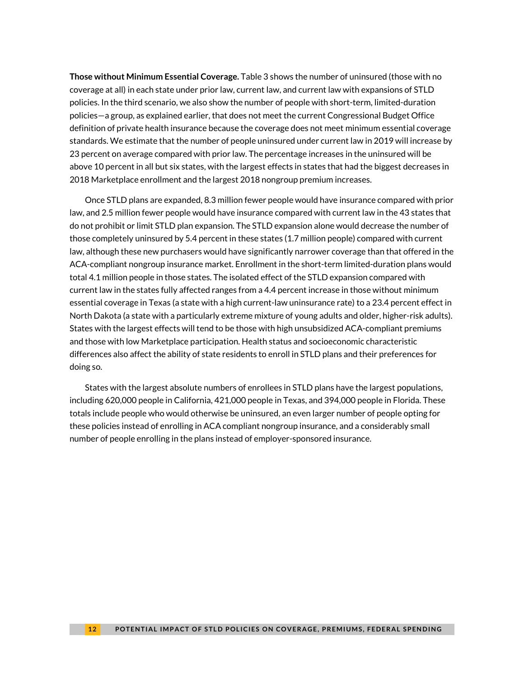**Those without Minimum Essential Coverage.** Table 3 shows the number of uninsured (those with no coverage at all) in each state under prior law, current law, and current law with expansions of STLD policies. In the third scenario, we also show the number of people with short-term, limited-duration policies—a group, as explained earlier, that does not meet the current Congressional Budget Office definition of private health insurance because the coverage does not meet minimum essential coverage standards. We estimate that the number of people uninsured under current law in 2019 will increase by 23 percent on average compared with prior law. The percentage increases in the uninsured will be above 10 percent in all but six states, with the largest effects in states that had the biggest decreases in 2018 Marketplace enrollment and the largest 2018 nongroup premium increases.

Once STLD plans are expanded, 8.3 million fewer people would have insurance compared with prior law, and 2.5 million fewer people would have insurance compared with current law in the 43 states that do not prohibit or limit STLD plan expansion. The STLD expansion alone would decrease the number of those completely uninsured by 5.4 percent in these states (1.7 million people) compared with current law, although these new purchasers would have significantly narrower coverage than that offered in the ACA-compliant nongroup insurance market. Enrollment in the short-term limited-duration plans would total 4.1 million people in those states. The isolated effect of the STLD expansion compared with current law in the states fully affected ranges from a 4.4 percent increase in those without minimum essential coverage in Texas (a state with a high current-law uninsurance rate) to a 23.4 percent effect in North Dakota (a state with a particularly extreme mixture of young adults and older, higher-risk adults). States with the largest effects will tend to be those with high unsubsidized ACA-compliant premiums and those with low Marketplace participation. Health status and socioeconomic characteristic differences also affect the ability of state residents to enroll in STLD plans and their preferences for doing so.

States with the largest absolute numbers of enrollees in STLD plans have the largest populations, including 620,000 people in California, 421,000 people in Texas, and 394,000 people in Florida. These totals include people who would otherwise be uninsured, an even larger number of people opting for these policies instead of enrolling in ACA compliant nongroup insurance, and a considerably small number of people enrolling in the plans instead of employer-sponsored insurance.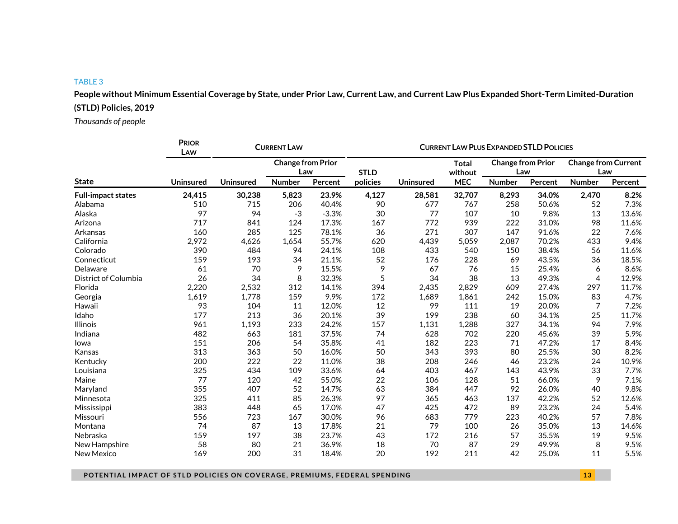**People without Minimum Essential Coverage by State, under Prior Law, Current Law, and Current Law Plus Expanded Short-Term Limited-Duration (STLD) Policies, 2019**

*Thousands of people*

|                           | <b>PRIOR</b><br>LAW |                  | <b>CURRENT LAW</b>       |         | <b>CURRENT LAW PLUS EXPANDED STLD POLICIES</b> |                  |                       |                          |         |                            |         |  |
|---------------------------|---------------------|------------------|--------------------------|---------|------------------------------------------------|------------------|-----------------------|--------------------------|---------|----------------------------|---------|--|
|                           |                     |                  | <b>Change from Prior</b> |         |                                                |                  | <b>Total</b>          | <b>Change from Prior</b> |         | <b>Change from Current</b> |         |  |
| <b>State</b>              | <b>Uninsured</b>    |                  | Law<br><b>Number</b>     |         | <b>STLD</b><br>policies                        | <b>Uninsured</b> | without<br><b>MEC</b> | Law                      |         | Law<br><b>Number</b>       |         |  |
|                           |                     | <b>Uninsured</b> |                          | Percent |                                                |                  |                       | <b>Number</b>            | Percent |                            | Percent |  |
| <b>Full-impact states</b> | 24,415              | 30,238           | 5,823                    | 23.9%   | 4,127                                          | 28,581           | 32,707                | 8,293                    | 34.0%   | 2,470                      | 8.2%    |  |
| Alabama                   | 510                 | 715              | 206                      | 40.4%   | 90                                             | 677              | 767                   | 258                      | 50.6%   | 52                         | 7.3%    |  |
| Alaska                    | 97                  | 94               | $-3$                     | $-3.3%$ | 30                                             | 77               | 107                   | 10                       | 9.8%    | 13                         | 13.6%   |  |
| Arizona                   | 717                 | 841              | 124                      | 17.3%   | 167                                            | 772              | 939                   | 222                      | 31.0%   | 98                         | 11.6%   |  |
| Arkansas                  | 160                 | 285              | 125                      | 78.1%   | 36                                             | 271              | 307                   | 147                      | 91.6%   | 22                         | 7.6%    |  |
| California                | 2,972               | 4,626            | 1,654                    | 55.7%   | 620                                            | 4,439            | 5,059                 | 2,087                    | 70.2%   | 433                        | 9.4%    |  |
| Colorado                  | 390                 | 484              | 94                       | 24.1%   | 108                                            | 433              | 540                   | 150                      | 38.4%   | 56                         | 11.6%   |  |
| Connecticut               | 159                 | 193              | 34                       | 21.1%   | 52                                             | 176              | 228                   | 69                       | 43.5%   | 36                         | 18.5%   |  |
| Delaware                  | 61                  | 70               | 9                        | 15.5%   | 9                                              | 67               | 76                    | 15                       | 25.4%   | 6                          | 8.6%    |  |
| District of Columbia      | 26                  | 34               | 8                        | 32.3%   | 5                                              | 34               | 38                    | 13                       | 49.3%   | $\overline{4}$             | 12.9%   |  |
| Florida                   | 2,220               | 2,532            | 312                      | 14.1%   | 394                                            | 2,435            | 2,829                 | 609                      | 27.4%   | 297                        | 11.7%   |  |
| Georgia                   | 1,619               | 1,778            | 159                      | 9.9%    | 172                                            | 1,689            | 1,861                 | 242                      | 15.0%   | 83                         | 4.7%    |  |
| Hawaii                    | 93                  | 104              | 11                       | 12.0%   | 12                                             | 99               | 111                   | 19                       | 20.0%   | 7                          | 7.2%    |  |
| Idaho                     | 177                 | 213              | 36                       | 20.1%   | 39                                             | 199              | 238                   | 60                       | 34.1%   | 25                         | 11.7%   |  |
| <b>Illinois</b>           | 961                 | 1,193            | 233                      | 24.2%   | 157                                            | 1,131            | 1,288                 | 327                      | 34.1%   | 94                         | 7.9%    |  |
| Indiana                   | 482                 | 663              | 181                      | 37.5%   | 74                                             | 628              | 702                   | 220                      | 45.6%   | 39                         | 5.9%    |  |
| lowa                      | 151                 | 206              | 54                       | 35.8%   | 41                                             | 182              | 223                   | 71                       | 47.2%   | 17                         | 8.4%    |  |
| Kansas                    | 313                 | 363              | 50                       | 16.0%   | 50                                             | 343              | 393                   | 80                       | 25.5%   | 30                         | 8.2%    |  |
| Kentucky                  | 200                 | 222              | 22                       | 11.0%   | 38                                             | 208              | 246                   | 46                       | 23.2%   | 24                         | 10.9%   |  |
| Louisiana                 | 325                 | 434              | 109                      | 33.6%   | 64                                             | 403              | 467                   | 143                      | 43.9%   | 33                         | 7.7%    |  |
| Maine                     | 77                  | 120              | 42                       | 55.0%   | 22                                             | 106              | 128                   | 51                       | 66.0%   | 9                          | 7.1%    |  |
| Maryland                  | 355                 | 407              | 52                       | 14.7%   | 63                                             | 384              | 447                   | 92                       | 26.0%   | 40                         | 9.8%    |  |
| Minnesota                 | 325                 | 411              | 85                       | 26.3%   | 97                                             | 365              | 463                   | 137                      | 42.2%   | 52                         | 12.6%   |  |
| Mississippi               | 383                 | 448              | 65                       | 17.0%   | 47                                             | 425              | 472                   | 89                       | 23.2%   | 24                         | 5.4%    |  |
| Missouri                  | 556                 | 723              | 167                      | 30.0%   | 96                                             | 683              | 779                   | 223                      | 40.2%   | 57                         | 7.8%    |  |
| Montana                   | 74                  | 87               | 13                       | 17.8%   | 21                                             | 79               | 100                   | 26                       | 35.0%   | 13                         | 14.6%   |  |
| Nebraska                  | 159                 | 197              | 38                       | 23.7%   | 43                                             | 172              | 216                   | 57                       | 35.5%   | 19                         | 9.5%    |  |
| New Hampshire             | 58                  | 80               | 21                       | 36.9%   | 18                                             | 70               | 87                    | 29                       | 49.9%   | 8                          | 9.5%    |  |
| New Mexico                | 169                 | 200              | 31                       | 18.4%   | 20                                             | 192              | 211                   | 42                       | 25.0%   | 11                         | 5.5%    |  |

**POTENTIAL IMPACT OF STLD POLICIES ON COVERAGE, PREMIUMS, FEDERAL SPENDING 1 3 13**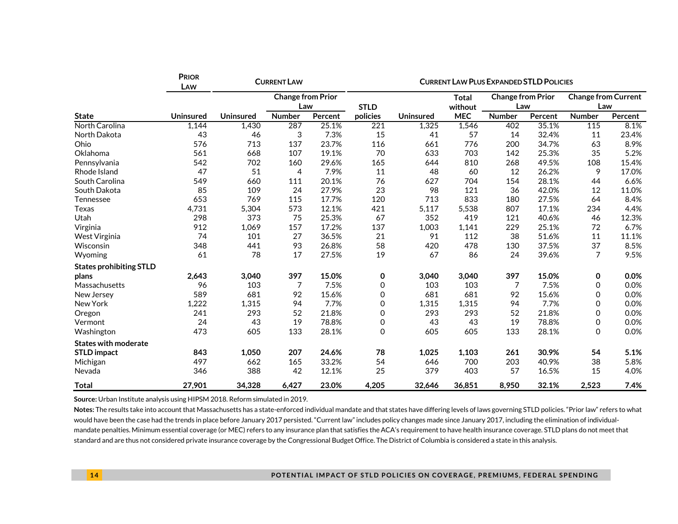|                                | <b>PRIOR</b><br>LAW | <b>CURRENT LAW</b> |                                 |         | <b>CURRENT LAW PLUS EXPANDED STLD POLICIES</b> |                  |                         |                                 |         |                                   |         |  |
|--------------------------------|---------------------|--------------------|---------------------------------|---------|------------------------------------------------|------------------|-------------------------|---------------------------------|---------|-----------------------------------|---------|--|
|                                |                     |                    | <b>Change from Prior</b><br>Law |         | <b>STLD</b>                                    |                  | <b>Total</b><br>without | <b>Change from Prior</b><br>Law |         | <b>Change from Current</b><br>Law |         |  |
| <b>State</b>                   | Uninsured           | <b>Uninsured</b>   | <b>Number</b>                   | Percent | policies                                       | <b>Uninsured</b> | <b>MEC</b>              | <b>Number</b>                   | Percent | <b>Number</b>                     | Percent |  |
| North Carolina                 | 1,144               | 1,430              | 287                             | 25.1%   | 221                                            | 1,325            | 1,546                   | 402                             | 35.1%   | 115                               | 8.1%    |  |
| North Dakota                   | 43                  | 46                 | 3                               | 7.3%    | 15                                             | 41               | 57                      | 14                              | 32.4%   | 11                                | 23.4%   |  |
| Ohio                           | 576                 | 713                | 137                             | 23.7%   | 116                                            | 661              | 776                     | 200                             | 34.7%   | 63                                | 8.9%    |  |
| Oklahoma                       | 561                 | 668                | 107                             | 19.1%   | 70                                             | 633              | 703                     | 142                             | 25.3%   | 35                                | 5.2%    |  |
| Pennsylvania                   | 542                 | 702                | 160                             | 29.6%   | 165                                            | 644              | 810                     | 268                             | 49.5%   | 108                               | 15.4%   |  |
| Rhode Island                   | 47                  | 51                 | 4                               | 7.9%    | 11                                             | 48               | 60                      | 12                              | 26.2%   | 9                                 | 17.0%   |  |
| South Carolina                 | 549                 | 660                | 111                             | 20.1%   | 76                                             | 627              | 704                     | 154                             | 28.1%   | 44                                | 6.6%    |  |
| South Dakota                   | 85                  | 109                | 24                              | 27.9%   | 23                                             | 98               | 121                     | 36                              | 42.0%   | 12                                | 11.0%   |  |
| Tennessee                      | 653                 | 769                | 115                             | 17.7%   | 120                                            | 713              | 833                     | 180                             | 27.5%   | 64                                | 8.4%    |  |
| <b>Texas</b>                   | 4,731               | 5,304              | 573                             | 12.1%   | 421                                            | 5,117            | 5,538                   | 807                             | 17.1%   | 234                               | 4.4%    |  |
| Utah                           | 298                 | 373                | 75                              | 25.3%   | 67                                             | 352              | 419                     | 121                             | 40.6%   | 46                                | 12.3%   |  |
| Virginia                       | 912                 | 1,069              | 157                             | 17.2%   | 137                                            | 1,003            | 1,141                   | 229                             | 25.1%   | 72                                | 6.7%    |  |
| West Virginia                  | 74                  | 101                | 27                              | 36.5%   | 21                                             | 91               | 112                     | 38                              | 51.6%   | 11                                | 11.1%   |  |
| Wisconsin                      | 348                 | 441                | 93                              | 26.8%   | 58                                             | 420              | 478                     | 130                             | 37.5%   | 37                                | 8.5%    |  |
| Wyoming                        | 61                  | 78                 | 17                              | 27.5%   | 19                                             | 67               | 86                      | 24                              | 39.6%   | $\overline{7}$                    | 9.5%    |  |
| <b>States prohibiting STLD</b> |                     |                    |                                 |         |                                                |                  |                         |                                 |         |                                   |         |  |
| plans                          | 2,643               | 3,040              | 397                             | 15.0%   | 0                                              | 3,040            | 3,040                   | 397                             | 15.0%   | 0                                 | 0.0%    |  |
| Massachusetts                  | 96                  | 103                | 7                               | 7.5%    | 0                                              | 103              | 103                     | $\overline{7}$                  | 7.5%    | 0                                 | 0.0%    |  |
| New Jersey                     | 589                 | 681                | 92                              | 15.6%   | 0                                              | 681              | 681                     | 92                              | 15.6%   | 0                                 | 0.0%    |  |
| New York                       | 1,222               | 1,315              | 94                              | 7.7%    | 0                                              | 1.315            | 1,315                   | 94                              | 7.7%    | 0                                 | 0.0%    |  |
| Oregon                         | 241                 | 293                | 52                              | 21.8%   | 0                                              | 293              | 293                     | 52                              | 21.8%   | 0                                 | 0.0%    |  |
| Vermont                        | 24                  | 43                 | 19                              | 78.8%   | 0                                              | 43               | 43                      | 19                              | 78.8%   | 0                                 | 0.0%    |  |
| Washington                     | 473                 | 605                | 133                             | 28.1%   | 0                                              | 605              | 605                     | 133                             | 28.1%   | $\Omega$                          | 0.0%    |  |
| <b>States with moderate</b>    |                     |                    |                                 |         |                                                |                  |                         |                                 |         |                                   |         |  |
| <b>STLD</b> impact             | 843                 | 1,050              | 207                             | 24.6%   | 78                                             | 1,025            | 1,103                   | 261                             | 30.9%   | 54                                | 5.1%    |  |
| Michigan                       | 497                 | 662                | 165                             | 33.2%   | 54                                             | 646              | 700                     | 203                             | 40.9%   | 38                                | 5.8%    |  |
| Nevada                         | 346                 | 388                | 42                              | 12.1%   | 25                                             | 379              | 403                     | 57                              | 16.5%   | 15                                | 4.0%    |  |
| <b>Total</b>                   | 27,901              | 34,328             | 6,427                           | 23.0%   | 4,205                                          | 32,646           | 36,851                  | 8.950                           | 32.1%   | 2,523                             | 7.4%    |  |

**Source:** Urban Institute analysis using HIPSM 2018. Reform simulated in 2019.

Notes: The results take into account that Massachusetts has a state-enforced individual mandate and that states have differing levels of laws governing STLD policies. "Prior law" refers to what would have been the case had the trends in place before January 2017 persisted. "Current law" includes policy changes made since January 2017, including the elimination of individualmandate penalties. Minimum essential coverage (or MEC) refers to any insurance plan that satisfies the ACA's requirement to have health insurance coverage. STLD plans do not meet that standard and are thus not considered private insurance coverage by the Congressional Budget Office. The District of Columbia is considered a state in this analysis.

#### **1 4 POTENTIAL IMPACT OF STLD POLICIES ON COVERAGE, PREMIUMS, FEDERAL SPENDING**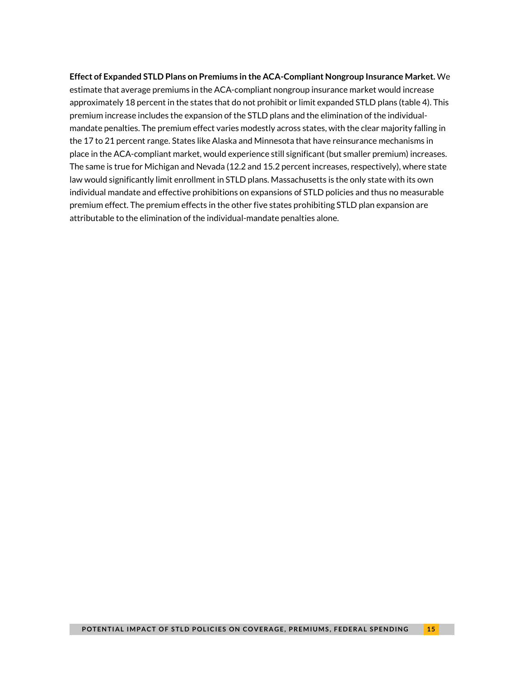#### **Effect of Expanded STLD Plans on Premiums in the ACA-Compliant Nongroup Insurance Market.** We

estimate that average premiums in the ACA-compliant nongroup insurance market would increase approximately 18 percent in the states that do not prohibit or limit expanded STLD plans (table 4). This premium increase includes the expansion of the STLD plans and the elimination of the individualmandate penalties. The premium effect varies modestly across states, with the clear majority falling in the 17 to 21 percent range. States like Alaska and Minnesota that have reinsurance mechanisms in place in the ACA-compliant market, would experience still significant (but smaller premium) increases. The same is true for Michigan and Nevada (12.2 and 15.2 percent increases, respectively), where state law would significantly limit enrollment in STLD plans. Massachusetts is the only state with its own individual mandate and effective prohibitions on expansions of STLD policies and thus no measurable premium effect. The premium effects in the other five states prohibiting STLD plan expansion are attributable to the elimination of the individual-mandate penalties alone.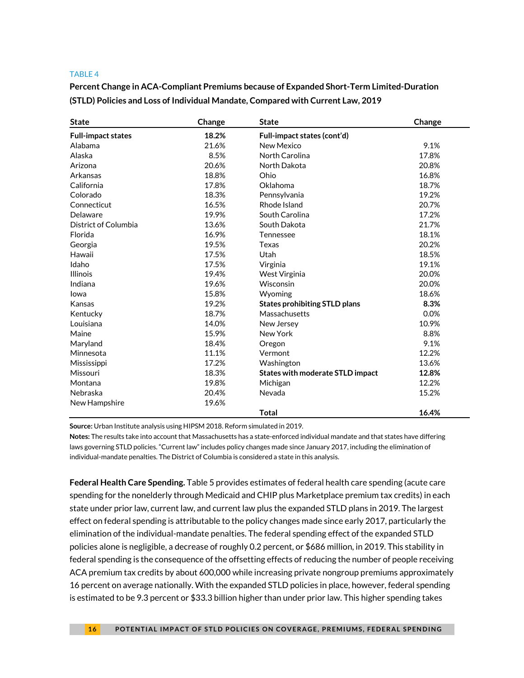**Percent Change in ACA-Compliant Premiums because of Expanded Short-Term Limited-Duration (STLD) Policies and Loss of Individual Mandate, Compared with Current Law, 2019**

| <b>State</b>              | Change | <b>State</b>                            | Change |
|---------------------------|--------|-----------------------------------------|--------|
| <b>Full-impact states</b> | 18.2%  | Full-impact states (cont'd)             |        |
| Alabama                   | 21.6%  | New Mexico                              | 9.1%   |
| Alaska                    | 8.5%   | North Carolina                          | 17.8%  |
| Arizona                   | 20.6%  | North Dakota                            | 20.8%  |
| Arkansas                  | 18.8%  | Ohio                                    | 16.8%  |
| California                | 17.8%  | Oklahoma                                | 18.7%  |
| Colorado                  | 18.3%  | Pennsylvania                            | 19.2%  |
| Connecticut               | 16.5%  | Rhode Island                            | 20.7%  |
| Delaware                  | 19.9%  | South Carolina                          | 17.2%  |
| District of Columbia      | 13.6%  | South Dakota                            | 21.7%  |
| Florida                   | 16.9%  | Tennessee                               | 18.1%  |
| Georgia                   | 19.5%  | Texas                                   | 20.2%  |
| Hawaii                    | 17.5%  | Utah                                    | 18.5%  |
| Idaho                     | 17.5%  | Virginia                                | 19.1%  |
| <b>Illinois</b>           | 19.4%  | West Virginia                           | 20.0%  |
| Indiana                   | 19.6%  | Wisconsin                               | 20.0%  |
| Iowa                      | 15.8%  | Wyoming                                 | 18.6%  |
| Kansas                    | 19.2%  | <b>States prohibiting STLD plans</b>    | 8.3%   |
| Kentucky                  | 18.7%  | Massachusetts                           | 0.0%   |
| Louisiana                 | 14.0%  | New Jersey                              | 10.9%  |
| Maine                     | 15.9%  | New York                                | 8.8%   |
| Maryland                  | 18.4%  | Oregon                                  | 9.1%   |
| Minnesota                 | 11.1%  | Vermont                                 | 12.2%  |
| Mississippi               | 17.2%  | Washington                              | 13.6%  |
| Missouri                  | 18.3%  | <b>States with moderate STLD impact</b> | 12.8%  |
| Montana                   | 19.8%  | Michigan                                | 12.2%  |
| Nebraska                  | 20.4%  | Nevada                                  | 15.2%  |
| New Hampshire             | 19.6%  |                                         |        |
|                           |        | <b>Total</b>                            | 16.4%  |

**Source:** Urban Institute analysis using HIPSM 2018. Reform simulated in 2019.

**Notes:** The results take into account that Massachusetts has a state-enforced individual mandate and that states have differing laws governing STLD policies. "Current law" includes policy changes made since January 2017, including the elimination of individual-mandate penalties. The District of Columbia is considered a state in this analysis.

**Federal Health Care Spending.** Table 5 provides estimates of federal health care spending (acute care spending for the nonelderly through Medicaid and CHIP plus Marketplace premium tax credits) in each state under prior law, current law, and current law plus the expanded STLD plans in 2019. The largest effect on federal spending is attributable to the policy changes made since early 2017, particularly the elimination of the individual-mandate penalties. The federal spending effect of the expanded STLD policies alone is negligible, a decrease of roughly 0.2 percent, or \$686 million, in 2019. This stability in federal spending is the consequence of the offsetting effects of reducing the number of people receiving ACA premium tax credits by about 600,000 while increasing private nongroup premiums approximately 16 percent on average nationally. With the expanded STLD policies in place, however, federal spending is estimated to be 9.3 percent or \$33.3 billion higher than under prior law. This higher spending takes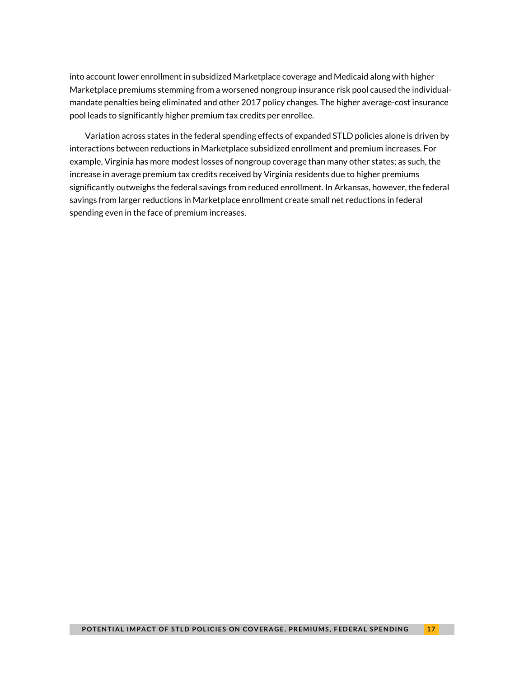into account lower enrollment in subsidized Marketplace coverage and Medicaid along with higher Marketplace premiums stemming from a worsened nongroup insurance risk pool caused the individualmandate penalties being eliminated and other 2017 policy changes. The higher average-cost insurance pool leads to significantly higher premium tax credits per enrollee.

Variation across states in the federal spending effects of expanded STLD policies alone is driven by interactions between reductions in Marketplace subsidized enrollment and premium increases. For example, Virginia has more modest losses of nongroup coverage than many other states; as such, the increase in average premium tax credits received by Virginia residents due to higher premiums significantly outweighs the federal savings from reduced enrollment. In Arkansas, however, the federal savings from larger reductions in Marketplace enrollment create small net reductions in federal spending even in the face of premium increases.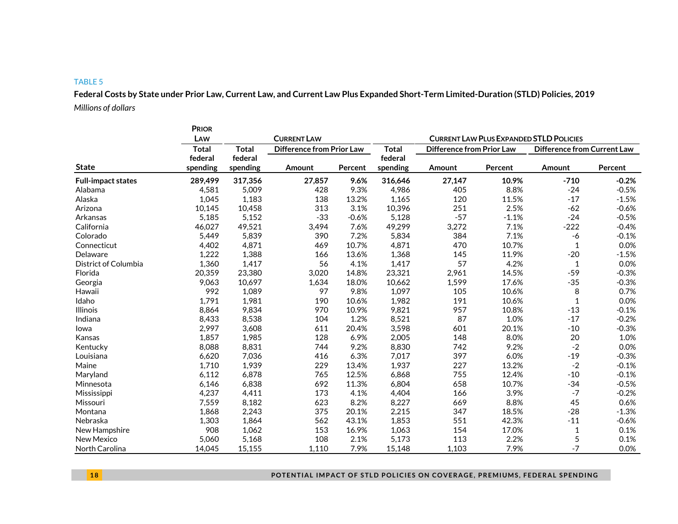**Federal Costs by State under Prior Law, Current Law, and Current Law Plus Expanded Short-Term Limited-Duration (STLD) Policies, 2019** *Millions of dollars*

|                           | <b>PRIOR</b>        |                     |                                  |         |                                                |                                  |         |              |                                    |  |  |
|---------------------------|---------------------|---------------------|----------------------------------|---------|------------------------------------------------|----------------------------------|---------|--------------|------------------------------------|--|--|
|                           | LAW                 |                     | <b>CURRENT LAW</b>               |         | <b>CURRENT LAW PLUS EXPANDED STLD POLICIES</b> |                                  |         |              |                                    |  |  |
|                           | <b>Total</b>        | <b>Total</b>        | <b>Difference from Prior Law</b> |         | <b>Total</b>                                   | <b>Difference from Prior Law</b> |         |              | <b>Difference from Current Law</b> |  |  |
| <b>State</b>              | federal<br>spending | federal<br>spending | Amount                           | Percent | federal<br>spending                            | Amount                           | Percent | Amount       | Percent                            |  |  |
| <b>Full-impact states</b> | 289,499             | 317,356             | 27,857                           | 9.6%    | 316,646                                        | 27,147                           | 10.9%   | $-710$       | $-0.2%$                            |  |  |
| Alabama                   | 4,581               | 5,009               | 428                              | 9.3%    | 4,986                                          | 405                              | 8.8%    | $-24$        | $-0.5%$                            |  |  |
| Alaska                    | 1,045               | 1,183               | 138                              | 13.2%   | 1,165                                          | 120                              | 11.5%   | $-17$        | $-1.5%$                            |  |  |
| Arizona                   | 10,145              | 10,458              | 313                              | 3.1%    | 10,396                                         | 251                              | 2.5%    | $-62$        | $-0.6%$                            |  |  |
| Arkansas                  | 5,185               | 5,152               | $-33$                            | $-0.6%$ | 5,128                                          | $-57$                            | $-1.1%$ | $-24$        | $-0.5%$                            |  |  |
| California                | 46,027              | 49,521              | 3,494                            | 7.6%    | 49,299                                         | 3,272                            | 7.1%    | $-222$       | $-0.4%$                            |  |  |
| Colorado                  | 5,449               | 5,839               | 390                              | 7.2%    | 5,834                                          | 384                              | 7.1%    | -6           | $-0.1%$                            |  |  |
| Connecticut               | 4,402               | 4,871               | 469                              | 10.7%   | 4,871                                          | 470                              | 10.7%   | $\mathbf{1}$ | 0.0%                               |  |  |
| Delaware                  | 1,222               | 1,388               | 166                              | 13.6%   | 1,368                                          | 145                              | 11.9%   | $-20$        | $-1.5%$                            |  |  |
| District of Columbia      | 1,360               | 1,417               | 56                               | 4.1%    | 1,417                                          | 57                               | 4.2%    | $\mathbf{1}$ | 0.0%                               |  |  |
| Florida                   | 20,359              | 23,380              | 3,020                            | 14.8%   | 23,321                                         | 2,961                            | 14.5%   | $-59$        | $-0.3%$                            |  |  |
| Georgia                   | 9,063               | 10,697              | 1,634                            | 18.0%   | 10,662                                         | 1,599                            | 17.6%   | $-35$        | $-0.3%$                            |  |  |
| Hawaii                    | 992                 | 1,089               | 97                               | 9.8%    | 1,097                                          | 105                              | 10.6%   | 8            | 0.7%                               |  |  |
| Idaho                     | 1,791               | 1,981               | 190                              | 10.6%   | 1,982                                          | 191                              | 10.6%   | $\mathbf{1}$ | 0.0%                               |  |  |
| <b>Illinois</b>           | 8,864               | 9,834               | 970                              | 10.9%   | 9,821                                          | 957                              | 10.8%   | $-13$        | $-0.1%$                            |  |  |
| Indiana                   | 8,433               | 8,538               | 104                              | 1.2%    | 8,521                                          | 87                               | 1.0%    | $-17$        | $-0.2%$                            |  |  |
| lowa                      | 2.997               | 3,608               | 611                              | 20.4%   | 3,598                                          | 601                              | 20.1%   | $-10$        | $-0.3%$                            |  |  |
| Kansas                    | 1,857               | 1,985               | 128                              | 6.9%    | 2,005                                          | 148                              | 8.0%    | 20           | 1.0%                               |  |  |
| Kentucky                  | 8,088               | 8,831               | 744                              | 9.2%    | 8,830                                          | 742                              | 9.2%    | $-2$         | 0.0%                               |  |  |
| Louisiana                 | 6,620               | 7,036               | 416                              | 6.3%    | 7,017                                          | 397                              | 6.0%    | $-19$        | $-0.3%$                            |  |  |
| Maine                     | 1,710               | 1,939               | 229                              | 13.4%   | 1,937                                          | 227                              | 13.2%   | $-2$         | $-0.1%$                            |  |  |
| Maryland                  | 6,112               | 6,878               | 765                              | 12.5%   | 6,868                                          | 755                              | 12.4%   | $-10$        | $-0.1%$                            |  |  |
| Minnesota                 | 6,146               | 6,838               | 692                              | 11.3%   | 6,804                                          | 658                              | 10.7%   | $-34$        | $-0.5%$                            |  |  |
| Mississippi               | 4,237               | 4,411               | 173                              | 4.1%    | 4,404                                          | 166                              | 3.9%    | $-7$         | $-0.2%$                            |  |  |
| Missouri                  | 7,559               | 8,182               | 623                              | 8.2%    | 8,227                                          | 669                              | 8.8%    | 45           | 0.6%                               |  |  |
| Montana                   | 1,868               | 2,243               | 375                              | 20.1%   | 2,215                                          | 347                              | 18.5%   | $-28$        | $-1.3%$                            |  |  |
| Nebraska                  | 1,303               | 1,864               | 562                              | 43.1%   | 1,853                                          | 551                              | 42.3%   | $-11$        | $-0.6%$                            |  |  |
| New Hampshire             | 908                 | 1,062               | 153                              | 16.9%   | 1,063                                          | 154                              | 17.0%   | 1            | 0.1%                               |  |  |
| New Mexico                | 5,060               | 5,168               | 108                              | 2.1%    | 5,173                                          | 113                              | 2.2%    | 5            | 0.1%                               |  |  |
| North Carolina            | 14.045              | 15,155              | 1.110                            | 7.9%    | 15.148                                         | 1,103                            | 7.9%    | $-7$         | 0.0%                               |  |  |

**1 8 POTENTIAL IMPACT OF STLD POLICIES ON COVERAGE, PREMIUMS, FEDERAL SPENDING**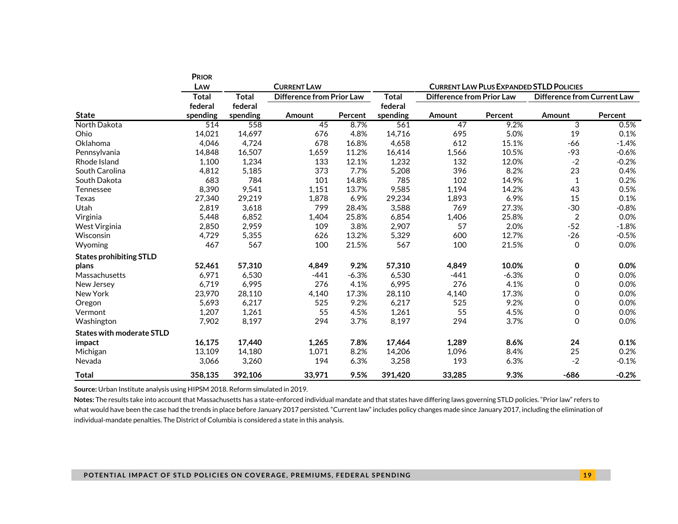|                                  | <b>PRIOR</b> |              |                                  |         |                                                |                                  |         |                                    |         |  |  |  |
|----------------------------------|--------------|--------------|----------------------------------|---------|------------------------------------------------|----------------------------------|---------|------------------------------------|---------|--|--|--|
|                                  | LAW          |              | <b>CURRENT LAW</b>               |         | <b>CURRENT LAW PLUS EXPANDED STLD POLICIES</b> |                                  |         |                                    |         |  |  |  |
|                                  | <b>Total</b> | <b>Total</b> | <b>Difference from Prior Law</b> |         | <b>Total</b>                                   | <b>Difference from Prior Law</b> |         | <b>Difference from Current Law</b> |         |  |  |  |
|                                  | federal      | federal      |                                  |         | federal                                        |                                  |         |                                    |         |  |  |  |
| <b>State</b>                     | spending     | spending     | Amount                           | Percent | spending                                       | Amount                           | Percent | Amount                             | Percent |  |  |  |
| North Dakota                     | 514          | 558          | 45                               | 8.7%    | 561                                            | 47                               | 9.2%    | 3                                  | 0.5%    |  |  |  |
| Ohio                             | 14,021       | 14,697       | 676                              | 4.8%    | 14,716                                         | 695                              | 5.0%    | 19                                 | 0.1%    |  |  |  |
| Oklahoma                         | 4,046        | 4,724        | 678                              | 16.8%   | 4,658                                          | 612                              | 15.1%   | -66                                | $-1.4%$ |  |  |  |
| Pennsylvania                     | 14,848       | 16,507       | 1,659                            | 11.2%   | 16,414                                         | 1,566                            | 10.5%   | $-93$                              | $-0.6%$ |  |  |  |
| Rhode Island                     | 1,100        | 1,234        | 133                              | 12.1%   | 1,232                                          | 132                              | 12.0%   | $-2$                               | $-0.2%$ |  |  |  |
| South Carolina                   | 4,812        | 5,185        | 373                              | 7.7%    | 5,208                                          | 396                              | 8.2%    | 23                                 | 0.4%    |  |  |  |
| South Dakota                     | 683          | 784          | 101                              | 14.8%   | 785                                            | 102                              | 14.9%   | $\mathbf{1}$                       | 0.2%    |  |  |  |
| <b>Tennessee</b>                 | 8,390        | 9,541        | 1,151                            | 13.7%   | 9,585                                          | 1,194                            | 14.2%   | 43                                 | 0.5%    |  |  |  |
| Texas                            | 27,340       | 29,219       | 1,878                            | 6.9%    | 29,234                                         | 1,893                            | 6.9%    | 15                                 | 0.1%    |  |  |  |
| Utah                             | 2,819        | 3,618        | 799                              | 28.4%   | 3,588                                          | 769                              | 27.3%   | $-30$                              | $-0.8%$ |  |  |  |
| Virginia                         | 5,448        | 6,852        | 1,404                            | 25.8%   | 6,854                                          | 1,406                            | 25.8%   | $\overline{c}$                     | 0.0%    |  |  |  |
| West Virginia                    | 2,850        | 2,959        | 109                              | 3.8%    | 2,907                                          | 57                               | 2.0%    | $-52$                              | $-1.8%$ |  |  |  |
| Wisconsin                        | 4,729        | 5,355        | 626                              | 13.2%   | 5,329                                          | 600                              | 12.7%   | $-26$                              | $-0.5%$ |  |  |  |
| Wyoming                          | 467          | 567          | 100                              | 21.5%   | 567                                            | 100                              | 21.5%   | 0                                  | 0.0%    |  |  |  |
| <b>States prohibiting STLD</b>   |              |              |                                  |         |                                                |                                  |         |                                    |         |  |  |  |
| plans                            | 52,461       | 57,310       | 4,849                            | 9.2%    | 57,310                                         | 4,849                            | 10.0%   | 0                                  | 0.0%    |  |  |  |
| Massachusetts                    | 6,971        | 6,530        | $-441$                           | $-6.3%$ | 6,530                                          | $-441$                           | $-6.3%$ | 0                                  | 0.0%    |  |  |  |
| New Jersey                       | 6,719        | 6,995        | 276                              | 4.1%    | 6,995                                          | 276                              | 4.1%    | 0                                  | 0.0%    |  |  |  |
| New York                         | 23,970       | 28,110       | 4,140                            | 17.3%   | 28,110                                         | 4,140                            | 17.3%   | 0                                  | 0.0%    |  |  |  |
| Oregon                           | 5,693        | 6,217        | 525                              | 9.2%    | 6,217                                          | 525                              | 9.2%    | 0                                  | 0.0%    |  |  |  |
| Vermont                          | 1,207        | 1,261        | 55                               | 4.5%    | 1,261                                          | 55                               | 4.5%    | 0                                  | 0.0%    |  |  |  |
| Washington                       | 7,902        | 8,197        | 294                              | 3.7%    | 8,197                                          | 294                              | 3.7%    | $\Omega$                           | 0.0%    |  |  |  |
| <b>States with moderate STLD</b> |              |              |                                  |         |                                                |                                  |         |                                    |         |  |  |  |
| impact                           | 16,175       | 17.440       | 1.265                            | 7.8%    | 17,464                                         | 1,289                            | 8.6%    | 24                                 | 0.1%    |  |  |  |
| Michigan                         | 13,109       | 14,180       | 1,071                            | 8.2%    | 14,206                                         | 1,096                            | 8.4%    | 25                                 | 0.2%    |  |  |  |
| Nevada                           | 3,066        | 3,260        | 194                              | 6.3%    | 3,258                                          | 193                              | 6.3%    | $-2$                               | $-0.1%$ |  |  |  |
| <b>Total</b>                     | 358,135      | 392,106      | 33,971                           | 9.5%    | 391,420                                        | 33,285                           | 9.3%    | $-686$                             | $-0.2%$ |  |  |  |

**Source:** Urban Institute analysis using HIPSM 2018. Reform simulated in 2019.

**Notes:** The results take into account that Massachusetts has a state-enforced individual mandate and that states have differing laws governing STLD policies. "Prior law" refers to what would have been the case had the trends in place before January 2017 persisted. "Current law" includes policy changes made since January 2017, including the elimination of individual-mandate penalties. The District of Columbia is considered a state in this analysis.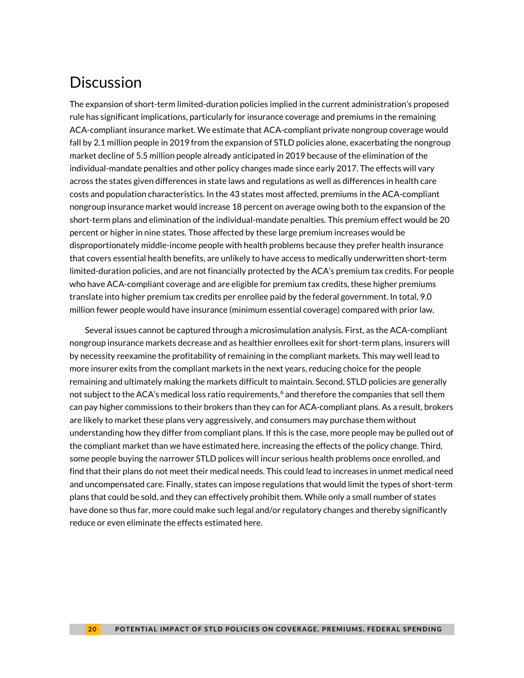# **Discussion**

The expansion of short-term limited-duration policies implied in the current administration's proposed rule has significant implications, particularly for insurance coverage and premiums in the remaining ACA-compliant insurance market. We estimate that ACA-compliant private nongroup coverage would fall by 2.1 million people in 2019 from the expansion of STLD policies alone, exacerbating the nongroup market decline of 5.5 million people already anticipated in 2019 because of the elimination of the individual-mandate penalties and other policy changes made since early 2017. The effects will vary across the states given differences in state laws and regulations as well as differences in health care costs and population characteristics. In the 43 states most affected, premiums in the ACA-compliant nongroup insurance market would increase 18 percent on average owing both to the expansion of the short-term plans and elimination of the individual-mandate penalties. This premium effect would be 20 percent or higher in nine states. Those affected by these large premium increases would be disproportionately middle-income people with health problems because they prefer health insurance that covers essential health benefits, are unlikely to have access to medically underwritten short-term limited-duration policies, and are not financially protected by the ACA's premium tax credits. For people who have ACA-compliant coverage and are eligible for premium tax credits, these higher premiums translate into higher premium tax credits per enrollee paid by the federal government. In total, 9.0 million fewer people would have insurance (minimum essential coverage) compared with prior law.

Several issues cannot be captured through a microsimulation analysis. First, as the ACA-compliant nongroup insurance markets decrease and as healthier enrollees exit for short-term plans, insurers will by necessity reexamine the profitability of remaining in the compliant markets. This may well lead to more insurer exits from the compliant markets in the next years, reducing choice for the people remaining and ultimately making the markets difficult to maintain. Second, STLD policies are generally not subject to the ACA's medical loss ratio requirements, $6$  and therefore the companies that sell them can pay higher commissions to their brokers than they can for ACA-compliant plans. As a result, brokers are likely to market these plans very aggressively, and consumers may purchase them without understanding how they differ from compliant plans. If this is the case, more people may be pulled out of the compliant market than we have estimated here, increasing the effects of the policy change. Third, some people buying the narrower STLD polices will incur serious health problems once enrolled, and find that their plans do not meet their medical needs. This could lead to increases in unmet medical need and uncompensated care. Finally, states can impose regulations that would limit the types of short-term plans that could be sold, and they can effectively prohibit them. While only a small number of states have done so thus far, more could make such legal and/or regulatory changes and thereby significantly reduce or even eliminate the effects estimated here.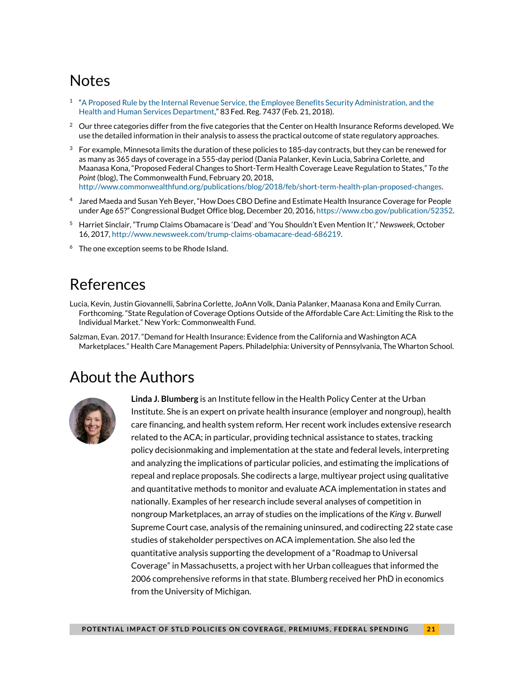# **Notes**

- $1$  "A Proposed Rule by the Internal Revenue Service, the Employee Benefits Security Administration, and the [Health and Human Services Department,"](https://www.federalregister.gov/documents/2018/02/21/2018-03208/short-term-limited-duration-insurance) 83 Fed. Reg. 7437 (Feb. 21, 2018).
- $2$  Our three categories differ from the five categories that the Center on Health Insurance Reforms developed. We use the detailed information in their analysis to assess the practical outcome of state regulatory approaches.
- $3<sup>3</sup>$  For example, Minnesota limits the duration of these policies to 185-day contracts, but they can be renewed for as many as 365 days of coverage in a 555-day period (Dania Palanker, Kevin Lucia, Sabrina Corlette, and Maanasa Kona, "Proposed Federal Changes to Short-Term Health Coverage Leave Regulation to States," *To the Point* (blog), The Commonwealth Fund, February 20, 2018, [http://www.commonwealthfund.org/publications/blog/2018/feb/short-term-health-plan-proposed-changes.](http://www.commonwealthfund.org/publications/blog/2018/feb/short-term-health-plan-proposed-changes)
- <sup>4</sup> Jared Maeda and Susan Yeh Beyer, "How Does CBO Define and Estimate Health Insurance Coverage for People under Age 65?" Congressional Budget Office blog, December 20, 2016[, https://www.cbo.gov/publication/52352.](https://www.cbo.gov/publication/52352)
- <sup>5</sup> Harriet Sinclair, "Trump Claims Obamacare is 'Dead' and 'You Shouldn't Even Mention It'," *Newsweek*, October 16, 2017[, http://www.newsweek.com/trump-claims-obamacare-dead-686219.](http://www.newsweek.com/trump-claims-obamacare-dead-686219)
- <span id="page-20-0"></span> $6$  The one exception seems to be Rhode Island.

### References

- Lucia, Kevin, Justin Giovannelli, Sabrina Corlette, JoAnn Volk, Dania Palanker, Maanasa Kona and Emily Curran. Forthcoming. "State Regulation of Coverage Options Outside of the Affordable Care Act: Limiting the Risk to the Individual Market." New York: Commonwealth Fund.
- Salzman, Evan. 2017. "Demand for Health Insurance: Evidence from the California and Washington ACA Marketplaces." Health Care Management Papers. Philadelphia: University of Pennsylvania, The Wharton School.

### About the Authors



**Linda J. Blumberg** is an Institute fellow in the Health Policy Center at the Urban Institute. She is an expert on private health insurance (employer and nongroup), health care financing, and health system reform. Her recent work includes extensive research related to the ACA; in particular, providing technical assistance to states, tracking policy decisionmaking and implementation at the state and federal levels, interpreting and analyzing the implications of particular policies, and estimating the implications of repeal and replace proposals. She codirects a large, multiyear project using qualitative and quantitative methods to monitor and evaluate ACA implementation in states and nationally. Examples of her research include several analyses of competition in nongroup Marketplaces, an array of studies on the implications of the *King v. Burwell* Supreme Court case, analysis of the remaining uninsured, and codirecting 22 state case studies of stakeholder perspectives on ACA implementation. She also led the quantitative analysis supporting the development of a "Roadmap to Universal Coverage" in Massachusetts, a project with her Urban colleagues that informed the 2006 comprehensive reforms in that state. Blumberg received her PhD in economics from the University of Michigan.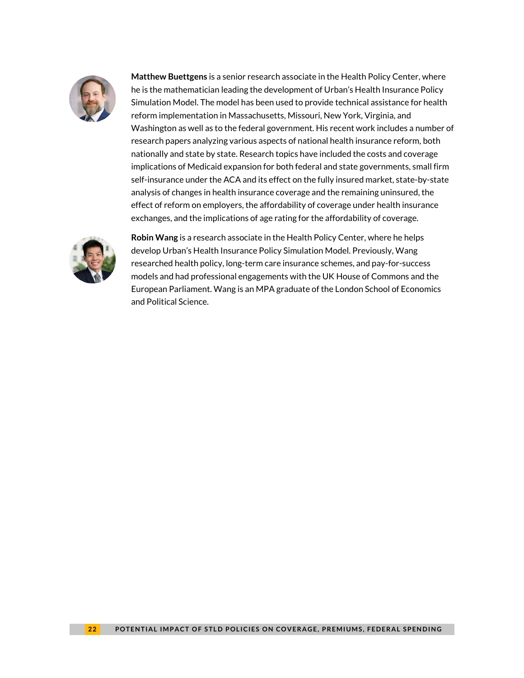

**Matthew Buettgens** is a senior research associate in the Health Policy Center, where he is the mathematician leading the development of Urban's Health Insurance Policy Simulation Model. The model has been used to provide technical assistance for health reform implementation in Massachusetts, Missouri, New York, Virginia, and Washington as well as to the federal government. His recent work includes a number of research papers analyzing various aspects of national health insurance reform, both nationally and state by state. Research topics have included the costs and coverage implications of Medicaid expansion for both federal and state governments, small firm self-insurance under the ACA and its effect on the fully insured market, state-by-state analysis of changes in health insurance coverage and the remaining uninsured, the effect of reform on employers, the affordability of coverage under health insurance exchanges, and the implications of age rating for the affordability of coverage.



**Robin Wang** is a research associate in the Health Policy Center, where he helps develop Urban's Health Insurance Policy Simulation Model. Previously, Wang researched health policy, long-term care insurance schemes, and pay-for-success models and had professional engagements with the UK House of Commons and the European Parliament. Wang is an MPA graduate of the London School of Economics and Political Science.